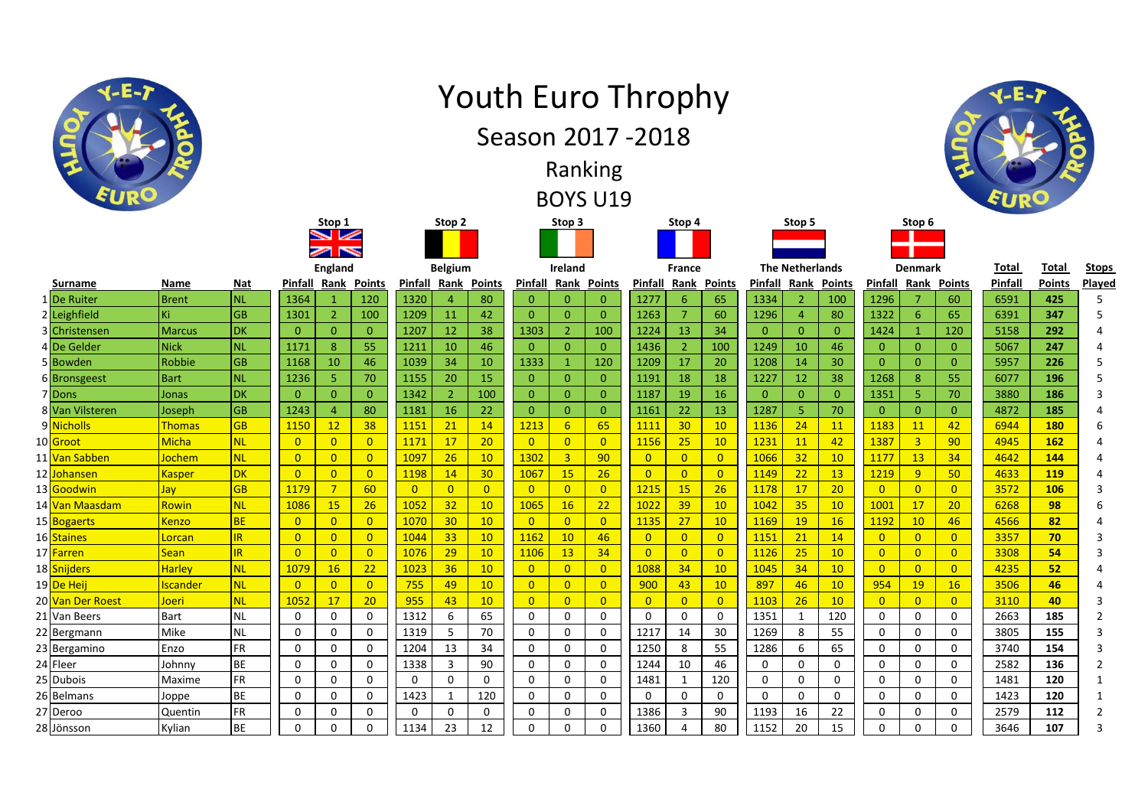

## Youth Euro Throphy



## Ranking

BOYS U19

|                               |                 |           |                            | Stop 1                     |                 | Stop 2         |                |                | Stop 3         |                |                |                | Stop 4          |                |              | Stop 5                 |                 |                | Stop 6         |                |              |               |                |
|-------------------------------|-----------------|-----------|----------------------------|----------------------------|-----------------|----------------|----------------|----------------|----------------|----------------|----------------|----------------|-----------------|----------------|--------------|------------------------|-----------------|----------------|----------------|----------------|--------------|---------------|----------------|
|                               |                 |           |                            | $\blacktriangleright$<br>N |                 |                |                |                |                |                |                |                |                 |                |              |                        |                 |                |                |                |              |               |                |
|                               |                 |           | England                    |                            |                 | <b>Belgium</b> |                |                | Ireland        |                |                | France         |                 |                |              | <b>The Netherlands</b> |                 |                | <b>Denmark</b> |                | <b>Total</b> | Total         | <b>Stops</b>   |
| Surname                       | Name            | Nat       | <b>Pinfall Rank Points</b> |                            |                 | <b>Pinfall</b> |                | Rank Points    | Pinfall        | Rank           | <b>Points</b>  | Pinfall        | Rank            | <b>Points</b>  |              | Pinfall Rank           | Points          | Pinfall        | Rank           | <b>Points</b>  | Pinfall      | <b>Points</b> | Played         |
| 1 De Ruiter                   | <b>Brent</b>    | <b>NL</b> | 1364                       |                            | 120             | 1320           |                | 80             | $\mathbf{0}$   | $\Omega$       | $\mathbf{0}$   | 1277           | 6               | 65             | 1334         |                        | 100             | 1296           |                | 60             | 6591         | 425           | 5              |
| 2 Leighfield                  | Κi              | <b>GB</b> | 1301                       | $\overline{2}$             | 100             | 1209           | 11             | 42             | $\Omega$       | $\Omega$       | $\mathbf{0}$   | 1263           | 7               | 60             | 1296         |                        | 80              | 1322           | 6              | 65             | 6391         | 347           | 5              |
| 3 Christensen                 | <b>Marcus</b>   | <b>DK</b> | $\Omega$                   | $\mathbf{0}$               | $\overline{0}$  | 1207           | <b>12</b>      | 38             | 1303           | $\overline{2}$ | 100            | 1224           | 13              | 34             | $\mathbf{0}$ | $\Omega$               | $\mathbf{0}$    | 1424           |                | 120            | 5158         | 292           |                |
| 4 De Gelder                   | <b>Nick</b>     | <b>NL</b> | 1171                       | 8                          | 55              | 1211           | 10             | 46             | $\overline{0}$ | $\Omega$       | $\Omega$       | 1436           | $\overline{2}$  | 100            | 1249         | 10                     | 46              | $\overline{0}$ | $\Omega$       | $\overline{0}$ | 5067         | 247           | 4              |
| 5 Bowden                      | Robbie          | <b>GB</b> | 1168                       | 10                         | 46              | 1039           | 34             | 10             | 1333           |                | 120            | 1209           | 17              | 20             | 1208         | 14                     | 30              | $\mathbf{0}$   | $\Omega$       | $\overline{0}$ | 5957         | 226           | 5              |
| 6 Bronsgeest                  | <b>Bart</b>     | <b>NL</b> | 1236                       | 5                          | 70              | 1155           | 20             | 15             | $\overline{0}$ | $\mathbf{0}$   | $\overline{0}$ | 1191           | 18              | 18             | 1227         | 12                     | 38              | 1268           | 8              | 55             | 6077         | 196           |                |
| 7 Dons                        | Jonas           | DK        | $\mathbf{0}$               | $\overline{0}$             | $\overline{0}$  | 1342           | $\overline{2}$ | 100            | $\overline{0}$ | $\Omega$       | $\mathbf{0}$   | 1187           | 19              | 16             | $\mathbf{0}$ | $\Omega$               | $\mathbf{0}$    | 1351           | 5              | 70             | 3880         | 186           | 3              |
| 8 Van Vilsteren               | Joseph          | <b>GB</b> | 1243                       | $\overline{4}$             | 80              | 1181           | 16             | 22             | $\mathbf{0}$   | $\Omega$       | $\overline{0}$ | 1161           | 22              | 13             | 1287         | 5                      | 70              | $\overline{0}$ | $\overline{0}$ | $\overline{0}$ | 4872         | 185           | Δ              |
| 9 Nicholls                    | Thomas          | <b>GB</b> | 1150                       | 12                         | 38              | 1151           | 21             | 14             | 1213           | 6              | 65             | 1111           | 30 <sub>o</sub> | 10             | 1136         | 24                     | 11              | 1183           | 11             | 42             | 6944         | 180           | 6              |
| 10 Groot                      | <b>Micha</b>    | <b>NL</b> | $\mathbf{0}$               | $\overline{0}$             | $\overline{0}$  | 1171           | 17             | 20             | $\overline{0}$ | $\Omega$       | $\overline{0}$ | 1156           | 25              | 10             | 1231         | 11                     | 42              | 1387           | $\overline{3}$ | 90             | 4945         | 162           |                |
| 11 <mark>Van Sabben</mark>    | Jochem          | <b>NL</b> | $\overline{0}$             | $\overline{0}$             | $\overline{0}$  | 1097           | 26             | 10             | 1302           | $\overline{3}$ | 90             | $\overline{0}$ | $\overline{0}$  | $\overline{0}$ | 1066         | 32                     | 10              | 1177           | 13             | 34             | 4642         | 144           |                |
| 12 <mark>Johansen</mark>      | <b>Kasper</b>   | <b>DK</b> | $\overline{0}$             | $\overline{0}$             | $\overline{0}$  | 1198           | 14             | 30             | 1067           | 15             | 26             | $\overline{0}$ | $\overline{0}$  | $\overline{0}$ | 1149         | 22                     | 13              | 1219           | 9 <sup>°</sup> | 50             | 4633         | 119           | Δ              |
| 13 <mark>Goodwin</mark>       | Jay             | <b>GB</b> | 1179                       | $\overline{7}$             | 60              | $\overline{0}$ | $\overline{0}$ | $\overline{0}$ | $\overline{0}$ | $\overline{0}$ | $\overline{0}$ | 1215           | 15              | 26             | 1178         | 17                     | 20              | $\overline{0}$ | $\overline{0}$ | $\overline{0}$ | 3572         | 106           | 3              |
| 14 <mark>Van Maasdam</mark>   | Rowin           | <b>NL</b> | 1086                       | 15                         | 26              | 1052           | 32             | 10             | 1065           | 16             | 22             | 1022           | 39              | 10             | 1042         | 35                     | 10              | 1001           | 17             | 20             | 6268         | 98            | 6              |
| 15 <mark>Bogaerts</mark>      | <b>Kenzo</b>    | <b>BE</b> | $\overline{0}$             | $\overline{0}$             | $\overline{0}$  | 1070           | 30             | 10             | $\overline{0}$ | $\overline{0}$ | $\overline{0}$ | 1135           | 27              | 10             | 1169         | 19                     | 16              | 1192           | 10             | 46             | 4566         | 82            | Δ              |
| 16 Staines                    | Lorcan          | IR        | $\overline{0}$             | $\overline{0}$             | $\overline{0}$  | 1044           | 33             | 10             | 1162           | 10             | 46             | $\overline{0}$ | $\overline{0}$  | $\overline{0}$ | 1151         | 21                     | 14              | $\overline{0}$ | $\overline{0}$ | $\overline{0}$ | 3357         | 70            | 3              |
| 17 <mark>Farren</mark>        | <b>Sean</b>     | IR.       | $\overline{0}$             | $\overline{0}$             | $\overline{0}$  | 1076           | 29             | 10             | 1106           | 13             | 34             | $\overline{0}$ | $\overline{0}$  | $\overline{0}$ | 1126         | 25                     | 10              | $\overline{0}$ | $\overline{0}$ | $\overline{0}$ | 3308         | 54            |                |
| 18 Snijders                   | <b>Harley</b>   | <b>NL</b> | 1079                       | 16                         | 22              | 1023           | 36             | 10             | $\overline{0}$ | $\overline{0}$ | $\overline{0}$ | 1088           | 34              | 10             | 1045         | 34                     | 10              | $\overline{0}$ | $\overline{0}$ | $\overline{0}$ | 4235         | 52            |                |
| 19 <mark>De Heij</mark>       | <b>Iscander</b> | <b>NL</b> | $\Omega$                   | $\Omega$                   | $\overline{0}$  | 755            | 49             | 10             | $\overline{0}$ | $\Omega$       | $\overline{0}$ | 900            | 43              | 10             | 897          | 46                     | 10 <sup>°</sup> | 954            | 19             | 16             | 3506         | 46            |                |
| 20 <mark>Van Der Roest</mark> | Joeri           | <b>NL</b> | 1052                       | 17                         | 20 <sup>°</sup> | 955            | 43             | 10             | $\overline{0}$ | $\overline{0}$ | $\overline{0}$ | $\overline{0}$ | $\overline{0}$  | $\overline{0}$ | 1103         | 26                     | 10              | $\Omega$       | $\overline{0}$ | $\overline{0}$ | 3110         | 40            | 3              |
| 21 Van Beers                  | <b>Bart</b>     | <b>NL</b> | 0                          | $\Omega$                   | $\Omega$        | 1312           | 6              | 65             | $\mathbf 0$    | $\Omega$       | $\mathbf{0}$   | $\Omega$       | 0               | $\mathbf 0$    | 1351         |                        | 120             | $\mathbf{0}$   | $\Omega$       | $\mathbf 0$    | 2663         | 185           | 2              |
| 22 Bergmann                   | Mike            | <b>NL</b> | 0                          | $\Omega$                   | $\mathbf 0$     | 1319           | 5              | 70             | $\mathbf 0$    | $\Omega$       | $\mathbf 0$    | 1217           | 14              | 30             | 1269         |                        | 55              | 0              | 0              | $\mathbf 0$    | 3805         | 155           | 3              |
| 23 Bergamino                  | Enzo            | <b>FR</b> | 0                          | 0                          | $\mathbf 0$     | 1204           | 13             | 34             | $\mathbf 0$    | $\mathbf 0$    | $\mathbf 0$    | 1250           | 8               | 55             | 1286         | 6                      | 65              | $\mathbf 0$    | 0              | $\mathbf 0$    | 3740         | 154           | 3              |
| 24 Fleer                      | Johnny          | BE        | 0                          | $\Omega$                   | $\mathbf 0$     | 1338           | 3              | 90             | $\mathbf 0$    | $\Omega$       | $\mathbf 0$    | 1244           | 10              | 46             | 0            | $\Omega$               | 0               | $\Omega$       | 0              | 0              | 2582         | 136           | $\overline{2}$ |
| 25 Dubois                     | Maxime          | FR        | 0                          | $\Omega$                   | 0               | 0              | $\mathbf{0}$   | $\Omega$       | $\mathbf 0$    | 0              | $\mathbf 0$    | 1481           | $\mathbf{1}$    | 120            | 0            | $\Omega$               | 0               | 0              | 0              | 0              | 1481         | 120           | $\mathbf 1$    |
| 26 Belmans                    | Joppe           | <b>BE</b> | 0                          | $\Omega$                   | $\Omega$        | 1423           | 1              | 120            | 0              | $\Omega$       | $\Omega$       | 0              | 0               | $\Omega$       | 0            | $\Omega$               | $\Omega$        | 0              | 0              | $\mathbf{0}$   | 1423         | 120           | 1              |
| 27 Deroo                      | Quentin         | FR        | 0                          | $\Omega$                   | 0               | 0              | $\mathbf{0}$   | $\Omega$       | $\mathbf 0$    | 0              | $\mathbf 0$    | 1386           | 3               | 90             | 1193         | 16                     | 22              | 0              | 0              | 0              | 2579         | 112           | 2              |
| 28 Jönsson                    | Kylian          | <b>BE</b> | 0                          | 0                          | $\Omega$        | 1134           | 23             | 12             | $\mathbf 0$    | $\Omega$       | $\mathbf 0$    | 1360           | 4               | 80             | 1152         | 20                     | 15              | 0              | 0              | $\Omega$       | 3646         | 107           | 3              |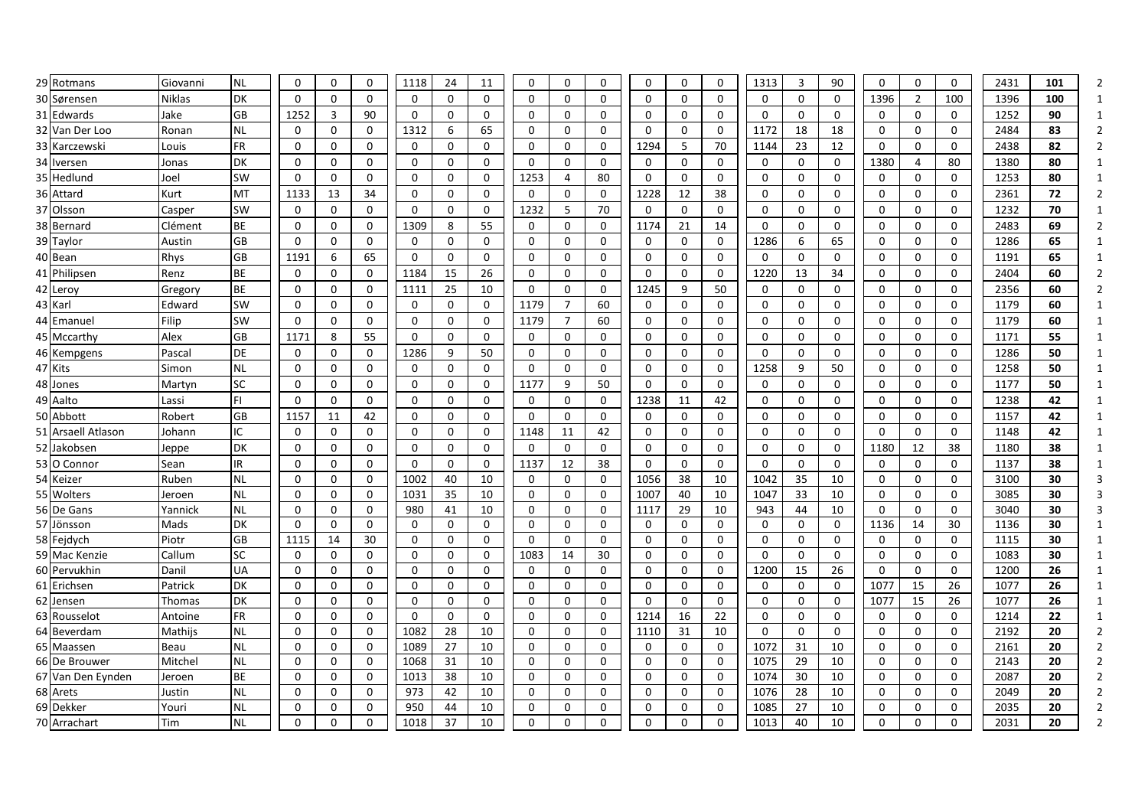| 29 Rotmans                  | Giovanni           | <b>NL</b>              | $\Omega$                 | $\mathbf 0$                  | 0             | 1118          | 24                   | 11                   | 0                        | $\mathbf 0$          | 0                 | $\mathbf 0$         | $\mathbf 0$  | 0                 | 1313          | 3             | 90          | $\mathbf 0$      | $\mathbf 0$        | $\mathsf{O}$       | 2431         | 101      |  |
|-----------------------------|--------------------|------------------------|--------------------------|------------------------------|---------------|---------------|----------------------|----------------------|--------------------------|----------------------|-------------------|---------------------|--------------|-------------------|---------------|---------------|-------------|------------------|--------------------|--------------------|--------------|----------|--|
| 30 Sørensen                 | <b>Niklas</b>      | DK                     | 0                        | $\mathbf 0$                  | $\mathbf 0$   | $\mathbf{0}$  | 0                    | 0                    | 0                        | 0                    | 0                 | 0                   | 0            | $\mathbf 0$       | 0             | $\mathbf 0$   | 0           | 1396             | $\overline{2}$     | 100                | 1396         | 100      |  |
| 31 Edwards                  | Jake               | GB                     | 1252                     | 3                            | 90            | 0             | $\Omega$             | 0                    | $\Omega$                 | $\Omega$             | 0                 | 0                   | 0            | $\mathbf 0$       | 0             | $\mathbf 0$   | $\mathbf 0$ | $\Omega$         | $\Omega$           | $\mathbf 0$        | 1252         | 90       |  |
| 32 Van Der Loo              | Ronan              | <b>NL</b>              | $\mathbf{0}$             | $\mathbf 0$                  | 0             | 1312          | 6                    | 65                   | 0                        | 0                    | 0                 | 0                   | $\Omega$     | $\mathbf 0$       | 1172          | 18            | 18          | $\mathbf{0}$     | 0                  | $\mathbf 0$        | 2484         | 83       |  |
| 33 Karczewski               | Louis              | <b>FR</b>              | $\Omega$                 | 0                            | 0             | $\mathbf 0$   | 0                    | $\Omega$             | 0                        | $\mathbf{0}$         | 0                 | 1294                | 5            | 70                | 1144          | 23            | 12          | $\Omega$         | 0                  | $\mathbf 0$        | 2438         | 82       |  |
| 34 Iversen                  | Jonas              | DK                     | $\mathbf 0$              | 0                            | 0             | 0             | 0                    | 0                    | 0                        | $\mathbf 0$          | 0                 | 0                   | $\mathbf 0$  | 0                 | 0             | 0             | 0           | 1380             | 4                  | 80                 | 1380         | 80       |  |
| 35 Hedlund                  | Joel               | <b>SW</b>              | 0                        | 0                            | $\mathbf 0$   | 0             | 0                    | 0                    | 1253                     | $\overline{4}$       | 80                | 0                   | 0            | $\mathbf 0$       | 0             | 0             | 0           | 0                | 0                  | $\mathbf 0$        | 1253         | 80       |  |
| 36 Attard                   | Kurt               | MT                     | 1133                     | 13                           | 34            | 0             | $\mathbf{0}$         | $\Omega$             | $\mathbf{0}$             | $\Omega$             | 0                 | 1228                | 12           | 38                | 0             | 0             | 0           | $\mathbf{0}$     | $\mathbf 0$        | $\mathbf 0$        | 2361         | 72       |  |
| 37 Olsson                   | Casper             | SW                     | $\mathbf{0}$             | $\mathbf 0$                  | $\mathbf 0$   | $\Omega$      | 0                    | $\Omega$             | 1232                     | 5                    | 70                | 0                   | $\Omega$     | $\mathbf 0$       | $\mathbf 0$   | 0             | 0           | $\Omega$         | 0                  | $\mathbf 0$        | 1232         | 70       |  |
| 38 Bernard                  | Clément            | <b>BE</b>              | $\Omega$                 | 0                            | $\mathbf 0$   | 1309          | 8                    | 55                   | 0                        | $\mathbf 0$          | $\mathbf 0$       | 1174                | 21           | 14                | 0             | 0             | 0           | 0                | 0                  | $\mathbf 0$        | 2483         | 69       |  |
| 39 Taylor                   | Austin             | GB                     | $\mathbf 0$              | 0                            | 0             | 0             | 0                    | 0                    | 0                        | $\mathbf 0$          | 0                 | 0                   | 0            | 0                 | 1286          | 6             | 65          | $\mathbf 0$      | 0                  | 0                  | 1286         | 65       |  |
| 40 Bean                     | Rhys               | GB                     | 1191                     | 6                            | 65            | $\mathbf{0}$  | $\Omega$             | 0                    | 0                        | 0                    | 0                 | $\mathbf 0$         | 0            | $\mathbf 0$       | 0             | 0             | $\mathbf 0$ | $\Omega$         | 0                  | 0                  | 1191         | 65       |  |
| 41 Philipsen                | Renz               | <b>BE</b>              | $\mathbf{0}$             | 0                            | $\mathbf 0$   | 1184          | 15                   | 26                   | $\Omega$                 | $\Omega$             | 0                 | $\mathbf 0$         | $\Omega$     | $\mathbf 0$       | 1220          | 13            | 34          | $\Omega$         | $\mathbf{0}$       | $\mathbf 0$        | 2404         | 60       |  |
| 42 Leroy                    | Gregory            | <b>BE</b>              | $\Omega$                 | 0                            | 0             | 1111          | 25                   | 10                   | $\Omega$                 | 0                    | 0                 | 1245                | 9            | 50                | 0             | 0             | 0           | $\Omega$         | 0                  | $\mathbf 0$        | 2356         | 60       |  |
| 43 Karl                     | Edward             | <b>SW</b>              | $\Omega$                 | $\Omega$                     | $\Omega$      | $\Omega$      | $\Omega$             | $\Omega$             | 1179                     | $\overline{7}$       | 60                | $\mathbf{0}$        | $\Omega$     | 0                 | 0             | 0             | 0           | $\Omega$         | $\Omega$           | $\Omega$           | 1179         | 60       |  |
| 44 Emanuel                  | Filip              | <b>SW</b>              | $\Omega$                 | $\Omega$                     | 0             | $\Omega$      | $\Omega$             | $\Omega$             | 1179                     | $\overline{7}$       | 60                | 0                   | $\mathbf{0}$ | 0                 | $\Omega$      | $\Omega$      | 0           | $\mathbf{0}$     | $\Omega$           | 0                  | 1179         | 60       |  |
| 45 Mccarthy                 | Alex               | GB                     | 1171                     | 8                            | 55            | 0             | 0                    | 0                    | 0                        | 0                    | 0                 | $\mathbf 0$         | 0            | $\mathbf 0$       | 0             | 0             | 0           | 0                | 0                  | $\mathbf 0$        | 1171         | 55       |  |
| 46 Kempgens                 | Pascal             | DE                     | 0                        | 0                            | 0             | 1286          | 9                    | 50                   | 0                        | $\Omega$             | 0                 | 0                   | 0            | 0                 | 0             | 0             | 0           | 0                | 0                  | 0                  | 1286         | 50       |  |
| 47 Kits                     | Simon              | <b>NL</b>              | $\Omega$                 | $\mathbf 0$                  | $\mathbf 0$   | 0             | 0                    | 0                    | 0                        | 0                    | 0                 | $\mathbf 0$         | $\mathbf 0$  | $\mathbf 0$       | 1258          | 9             | 50          | $\Omega$         | $\mathbf 0$        | $\mathbf 0$        | 1258         | 50       |  |
| 48 Jones                    | Martyn             | SC                     | $\Omega$                 | 0                            | $\mathbf 0$   | 0             | $\Omega$             | 0                    | 1177                     | 9                    | 50                | $\mathbf{0}$        | $\mathbf 0$  | 0                 | 0             | 0             | 0           | 0                | 0                  | $\mathbf 0$        | 1177         | 50       |  |
| 49 Aalto                    | Lassi              | FI.                    | $\Omega$                 | $\Omega$                     | $\mathbf 0$   | $\Omega$      | $\Omega$             | $\Omega$             | $\mathbf{0}$             | $\Omega$             | 0                 | 1238                | 11           | 42                | $\Omega$      | $\Omega$      | 0           | $\mathbf{0}$     | $\Omega$           | $\mathbf 0$        | 1238         | 42       |  |
| 50 Abbott                   | Robert             | GB                     | 1157                     | 11                           | 42            | 0             | 0                    | 0                    | $\mathbf 0$              | $\mathbf 0$          | $\mathbf 0$       | $\mathbf 0$         | $\mathbf 0$  | $\mathbf 0$       | 0             | 0             | 0           | $\mathbf 0$      | 0                  | $\mathbf 0$        | 1157         | 42       |  |
| 51 Arsaell Atlason          | Johann             | IC                     | 0                        | 0                            | 0             | 0             | 0                    | 0                    | 1148                     | 11                   | 42                | 0                   | 0            | 0                 | 0             | 0             | 0           | 0                | 0                  | 0                  | 1148         | 42       |  |
| 52 Jakobsen                 | Jeppe              | DK                     | $\Omega$                 | $\mathbf 0$                  | $\mathbf 0$   | 0             | 0                    | 0                    | $\Omega$                 | $\Omega$             | $\mathbf 0$       | $\mathbf 0$         | $\mathbf 0$  | $\mathbf 0$       | 0             | 0             | $\mathbf 0$ | 1180             | 12                 | 38                 | 1180         | 38       |  |
| 53 O Connor                 | Sean               | IR.                    | $\Omega$                 | 0                            | $\mathbf 0$   | 0             | $\Omega$             | 0                    | 1137                     | 12                   | 38                | $\mathbf 0$         | $\mathbf 0$  | 0                 | 0             | 0             | 0           | $\mathbf 0$      | $\Omega$           | $\mathbf 0$        | 1137         | 38       |  |
| 54 Keizer                   | Ruben              | <b>NL</b>              | $\Omega$                 | 0                            | 0             | 1002          | 40                   | 10                   | $\mathbf{0}$             | 0                    | 0                 | 1056                | 38           | 10                | 1042          | 35            | 10          | $\mathbf{0}$     | $\mathbf 0$        | $\mathbf 0$        | 3100         | 30       |  |
| 55 Wolters                  | Jeroen             | <b>NL</b>              | $\Omega$                 | $\mathbf 0$                  | $\mathbf 0$   | 1031          | 35                   | 10                   | 0                        | 0                    | 0                 | 1007                | 40           | 10                | 1047          | 33            | 10          | $\Omega$         | $\Omega$           | $\mathbf 0$        | 3085         | 30       |  |
| 56 De Gans                  | Yannick            | <b>NL</b>              | $\Omega$                 | $\Omega$                     | 0             | 980           | 41                   | 10                   | 0                        | $\Omega$             | 0                 | 1117                | 29           | 10                | 943           | 44            | 10          | $\Omega$         | $\Omega$           | $\mathsf{O}$       | 3040         | 30       |  |
| 57 Jönsson                  | Mads               | DK                     | 0                        | 0                            | 0             | 0             | 0                    | 0                    | 0                        | 0                    | 0                 | 0                   | 0            | 0                 | 0             | 0             | 0           | 1136             | 14                 | $30\,$             | 1136         | 30       |  |
| 58 Fejdych                  | Piotr              | GB                     | 1115                     | 14                           | 30            | 0             | 0                    | $\mathbf 0$          | $\mathbf 0$              | 0                    | 0                 | 0                   | 0            | $\mathbf 0$       | $\mathbf 0$   | 0             | 0           | $\mathbf 0$      | 0                  | $\mathsf{O}$       | 1115         | 30       |  |
| 59 Mac Kenzie               | Callum             | SC                     | $\mathbf{0}$             | $\Omega$                     | $\Omega$      | 0             | 0                    | 0                    | 1083                     | 14                   | 30                | $\mathbf 0$         | $\Omega$     | $\mathbf 0$       | $\Omega$      | 0             | 0           | $\Omega$         | $\Omega$           | $\mathbf 0$        | 1083         | 30       |  |
| 60 Pervukhin                | Danil              | UA                     | $\mathbf 0$              | $\mathbf 0$                  | $\mathbf 0$   | 0             | 0                    | 0                    | 0                        | $\mathbf 0$          | 0                 | 0                   | $\mathbf 0$  | 0                 | 1200          | 15            | 26          | $\mathbf 0$      | $\mathbf 0$        | $\mathbf 0$        | 1200         | 26       |  |
| 61 Erichsen                 | Patrick            | <b>DK</b>              | $\mathbf{0}$             | 0                            | 0             | 0             | 0                    | 0                    | 0                        | 0                    | 0                 | 0                   | 0            | 0                 | 0             | 0             | 0           | 1077             | 15                 | 26                 | 1077         | 26       |  |
| 62 Jensen                   | Thomas             | <b>DK</b><br><b>FR</b> | $\mathbf{0}$<br>$\Omega$ | $\mathbf{0}$<br>$\mathbf{0}$ | 0<br>$\Omega$ | 0<br>$\Omega$ | $\Omega$<br>$\Omega$ | $\Omega$<br>$\Omega$ | $\mathbf{0}$<br>$\Omega$ | $\Omega$<br>$\Omega$ | 0<br>$\mathbf{0}$ | $\mathbf 0$<br>1214 | 0<br>16      | $\mathbf 0$<br>22 | 0<br>$\Omega$ | 0<br>$\Omega$ | 0<br>0      | 1077<br>$\Omega$ | 15<br>$\mathbf{0}$ | 26<br>$\mathbf{0}$ | 1077<br>1214 | 26<br>22 |  |
| 63 Rousselot<br>64 Beverdam | Antoine<br>Mathijs | <b>NL</b>              | $\Omega$                 | $\mathbf{0}$                 | $\mathbf 0$   | 1082          | 28                   | 10                   | $\mathbf{0}$             | $\Omega$             | 0                 | 1110                | 31           | 10                | $\Omega$      | 0             | $\mathbf 0$ | $\mathbf{0}$     | $\mathbf{0}$       | $\mathbf 0$        | 2192         | 20       |  |
| 65 Maassen                  | Beau               | <b>NL</b>              | $\Omega$                 | 0                            | $\mathbf 0$   | 1089          | 27                   | 10                   | $\Omega$                 | $\Omega$             | 0                 | $\mathbf 0$         | 0            | $\mathbf 0$       | 1072          | 31            | 10          | $\mathbf{0}$     | $\mathbf{0}$       | $\mathbf 0$        | 2161         | 20       |  |
| 66 De Brouwer               | Mitchel            | <b>NL</b>              | $\Omega$                 | $\mathbf{0}$                 | $\mathbf 0$   | 1068          | 31                   | 10                   | $\Omega$                 | $\Omega$             | 0                 | 0                   | $\Omega$     | $\Omega$          | 1075          | 29            | 10          | $\Omega$         | 0                  | $\mathbf{0}$       | 2143         | 20       |  |
| 67 Van Den Eynden           | Jeroen             | BE                     | $\mathbf 0$              | 0                            | $\mathbf 0$   | 1013          | 38                   | 10                   | 0                        | $\mathbf 0$          | 0                 | 0                   | $\mathbf 0$  | 0                 | 1074          | 30            | 10          | 0                | 0                  | $\mathbf 0$        | 2087         | 20       |  |
| 68 Arets                    | Justin             | <b>NL</b>              | 0                        | 0                            | 0             | 973           | 42                   | 10                   | 0                        | 0                    | 0                 | 0                   | 0            | 0                 | 1076          | 28            | 10          | 0                | 0                  | 0                  | 2049         | 20       |  |
| 69 Dekker                   | Youri              | <b>NL</b>              | $\mathbf 0$              | 0                            | 0             | 950           | 44                   | 10                   | 0                        | 0                    | 0                 | 0                   | 0            | 0                 | 1085          | 27            | 10          | 0                | 0                  | 0                  | 2035         | 20       |  |
| 70 Arrachart                | Tim                | <b>NL</b>              | $\Omega$                 | $\Omega$                     | 0             | 1018          | 37                   | 10                   | 0                        | $\Omega$             | 0                 | $\mathbf 0$         | $\Omega$     | $\mathbf 0$       | 1013          | 40            | 10          | $\Omega$         | $\Omega$           | $\Omega$           | 2031         | 20       |  |
|                             |                    |                        |                          |                              |               |               |                      |                      |                          |                      |                   |                     |              |                   |               |               |             |                  |                    |                    |              |          |  |